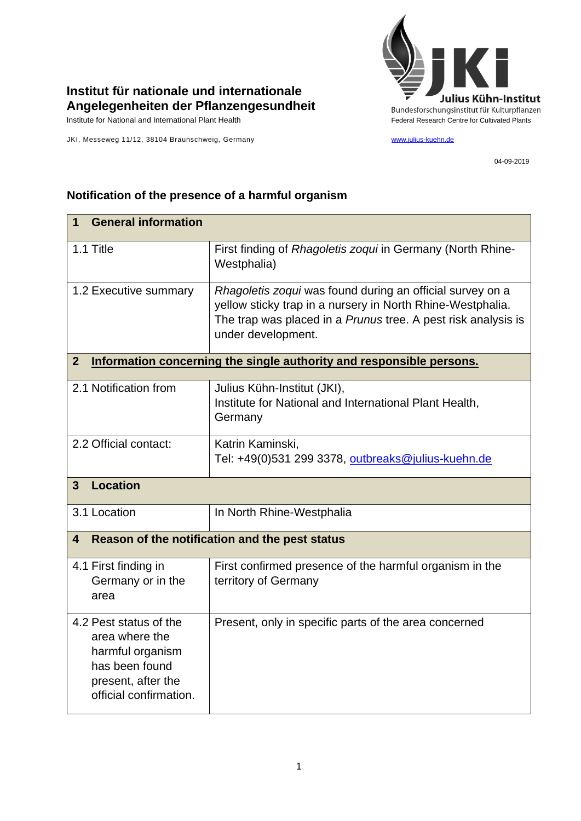

## **Institut für nationale und internationale Angelegenheiten der Pflanzengesundheit**

Institute for National and International Plant Health Feature And Theorem Federal Research Centre for Cultivated Plants

JKI, Messeweg 11/12, 38104 Braunschweig, Germany [www.julius-kuehn.de](http://www.julius-kuehn.de/)

04-09-2019

## **1 General information** 1.1 Title **First finding of** *Rhagoletis zoqui* in Germany (North Rhine-Westphalia) 1.2 Executive summary *Rhagoletis zoqui* was found during an official survey on a yellow sticky trap in a nursery in North Rhine-Westphalia. The trap was placed in a *Prunus* tree. A pest risk analysis is under development. **2 Information concerning the single authority and responsible persons.** 2.1 Notification from Julius Kühn-Institut (JKI), Institute for National and International Plant Health, **Germany** 2.2 Official contact: Katrin Kaminski, Tel: +49(0)531 299 3378, [outbreaks@julius-kuehn.de](mailto:outbreaks@julius-kuehn.de) **3 Location**  3.1 Location **In North Rhine-Westphalia 4 Reason of the notification and the pest status** 4.1 First finding in Germany or in the area First confirmed presence of the harmful organism in the territory of Germany 4.2 Pest status of the area where the harmful organism has been found present, after the official confirmation. Present, only in specific parts of the area concerned

## **Notification of the presence of a harmful organism**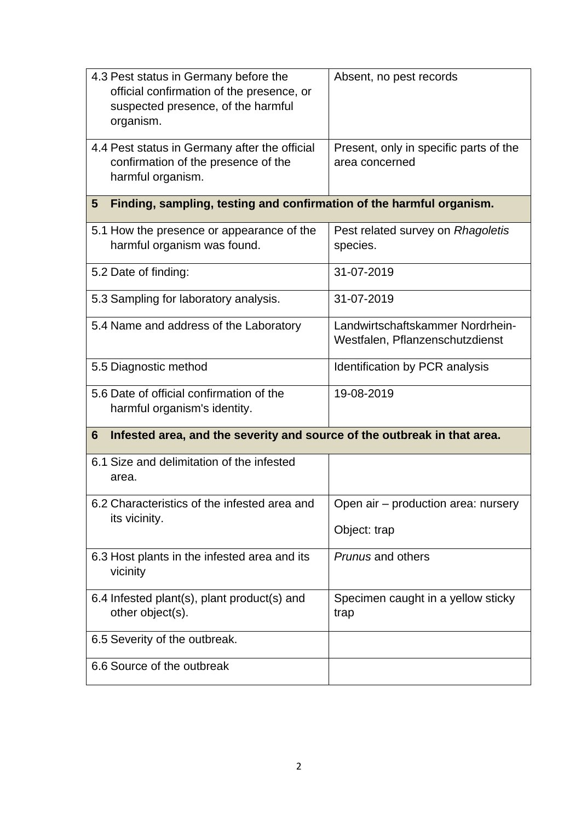| 4.3 Pest status in Germany before the<br>official confirmation of the presence, or<br>suspected presence, of the harmful<br>organism. | Absent, no pest records                                             |  |
|---------------------------------------------------------------------------------------------------------------------------------------|---------------------------------------------------------------------|--|
| 4.4 Pest status in Germany after the official<br>confirmation of the presence of the<br>harmful organism.                             | Present, only in specific parts of the<br>area concerned            |  |
| Finding, sampling, testing and confirmation of the harmful organism.<br>5                                                             |                                                                     |  |
| 5.1 How the presence or appearance of the<br>harmful organism was found.                                                              | Pest related survey on Rhagoletis<br>species.                       |  |
| 5.2 Date of finding:                                                                                                                  | 31-07-2019                                                          |  |
| 5.3 Sampling for laboratory analysis.                                                                                                 | 31-07-2019                                                          |  |
| 5.4 Name and address of the Laboratory                                                                                                | Landwirtschaftskammer Nordrhein-<br>Westfalen, Pflanzenschutzdienst |  |
| 5.5 Diagnostic method                                                                                                                 | Identification by PCR analysis                                      |  |
| 5.6 Date of official confirmation of the<br>harmful organism's identity.                                                              | 19-08-2019                                                          |  |
| Infested area, and the severity and source of the outbreak in that area.<br>6                                                         |                                                                     |  |
| 6.1 Size and delimitation of the infested<br>area.                                                                                    |                                                                     |  |
| 6.2 Characteristics of the infested area and<br>its vicinity.                                                                         | Open air - production area: nursery<br>Object: trap                 |  |
| 6.3 Host plants in the infested area and its<br>vicinity                                                                              | <b>Prunus and others</b>                                            |  |
| 6.4 Infested plant(s), plant product(s) and<br>other object(s).                                                                       | Specimen caught in a yellow sticky<br>trap                          |  |
| 6.5 Severity of the outbreak.                                                                                                         |                                                                     |  |
| 6.6 Source of the outbreak                                                                                                            |                                                                     |  |